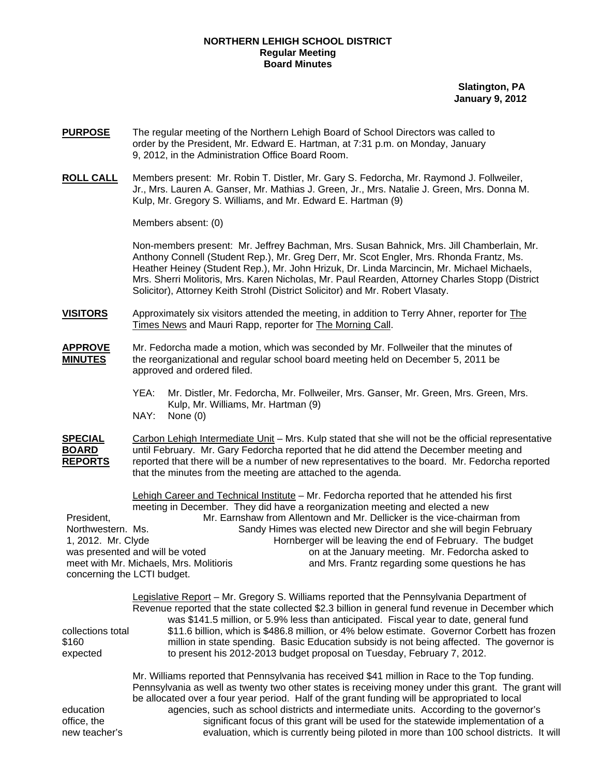# **NORTHERN LEHIGH SCHOOL DISTRICT Regular Meeting Board Minutes**

 **Slatington, PA January 9, 2012** 

- **PURPOSE** The regular meeting of the Northern Lehigh Board of School Directors was called to order by the President, Mr. Edward E. Hartman, at 7:31 p.m. on Monday, January 9, 2012, in the Administration Office Board Room.
- **ROLL CALL** Members present: Mr. Robin T. Distler, Mr. Gary S. Fedorcha, Mr. Raymond J. Follweiler, Jr., Mrs. Lauren A. Ganser, Mr. Mathias J. Green, Jr., Mrs. Natalie J. Green, Mrs. Donna M. Kulp, Mr. Gregory S. Williams, and Mr. Edward E. Hartman (9)

Members absent: (0)

Non-members present: Mr. Jeffrey Bachman, Mrs. Susan Bahnick, Mrs. Jill Chamberlain, Mr. Anthony Connell (Student Rep.), Mr. Greg Derr, Mr. Scot Engler, Mrs. Rhonda Frantz, Ms. Heather Heiney (Student Rep.), Mr. John Hrizuk, Dr. Linda Marcincin, Mr. Michael Michaels, Mrs. Sherri Molitoris, Mrs. Karen Nicholas, Mr. Paul Rearden, Attorney Charles Stopp (District Solicitor), Attorney Keith Strohl (District Solicitor) and Mr. Robert Vlasaty.

- **VISITORS** Approximately six visitors attended the meeting, in addition to Terry Ahner, reporter for The Times News and Mauri Rapp, reporter for The Morning Call.
- **APPROVE** Mr. Fedorcha made a motion, which was seconded by Mr. Follweiler that the minutes of **MINUTES** the reorganizational and regular school board meeting held on December 5, 2011 be approved and ordered filed.
	- YEA: Mr. Distler, Mr. Fedorcha, Mr. Follweiler, Mrs. Ganser, Mr. Green, Mrs. Green, Mrs. Kulp, Mr. Williams, Mr. Hartman (9)

NAY: None (0)

**SPECIAL** Carbon Lehigh Intermediate Unit – Mrs. Kulp stated that she will not be the official representative **BOARD** until February. Mr. Gary Fedorcha reported that he did attend the December meeting and **REPORTS** reported that there will be a number of new representatives to the board. Mr. Fedorcha reported that the minutes from the meeting are attached to the agenda.

Lehigh Career and Technical Institute – Mr. Fedorcha reported that he attended his first meeting in December. They did have a reorganization meeting and elected a new President, Mr. Earnshaw from Allentown and Mr. Dellicker is the vice-chairman from Northwestern. Ms. Sandy Himes was elected new Director and she will begin February 1, 2012. Mr. Clyde Hornberger will be leaving the end of February. The budget was presented and will be voted **on a contained a set on a contained to** on at the January meeting. Mr. Fedorcha asked to meet with Mr. Michaels, Mrs. Molitioris **and Mrs. Frantz regarding some questions** he has concerning the LCTI budget.

|                   | Legislative Report – Mr. Gregory S. Williams reported that the Pennsylvania Department of<br>Revenue reported that the state collected \$2.3 billion in general fund revenue in December which<br>was \$141.5 million, or 5.9% less than anticipated. Fiscal year to date, general fund |
|-------------------|-----------------------------------------------------------------------------------------------------------------------------------------------------------------------------------------------------------------------------------------------------------------------------------------|
| collections total | \$11.6 billion, which is \$486.8 million, or 4% below estimate. Governor Corbett has frozen                                                                                                                                                                                             |
| \$160             | million in state spending. Basic Education subsidy is not being affected. The governor is                                                                                                                                                                                               |
| expected          | to present his 2012-2013 budget proposal on Tuesday, February 7, 2012.                                                                                                                                                                                                                  |

 Mr. Williams reported that Pennsylvania has received \$41 million in Race to the Top funding. Pennsylvania as well as twenty two other states is receiving money under this grant. The grant will be allocated over a four year period. Half of the grant funding will be appropriated to local education agencies, such as school districts and intermediate units. According to the governor's office, the significant focus of this grant will be used for the statewide implementation of a new teacher's evaluation, which is currently being piloted in more than 100 school districts. It will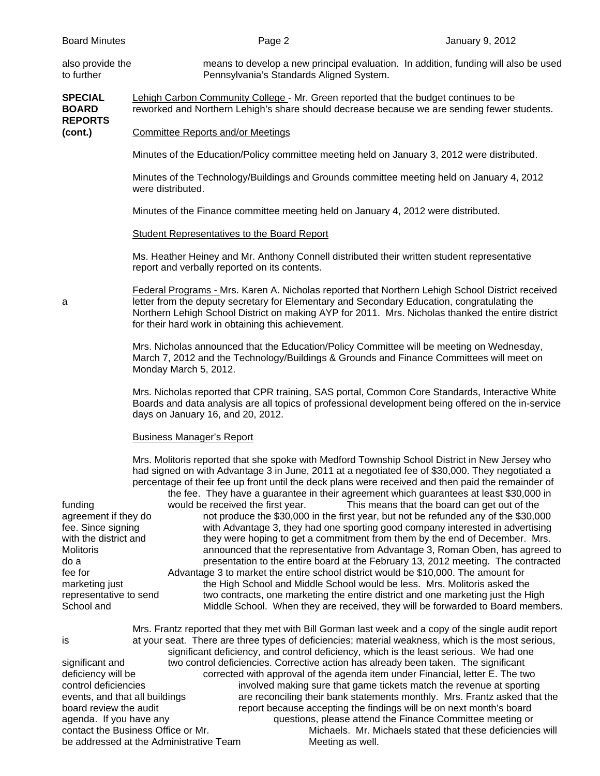| also provide the<br>to further                                                                                 | means to develop a new principal evaluation. In addition, funding will also be used<br>Pennsylvania's Standards Aligned System.                                                                                                                                                                                                                                                                                                                                                                                                                                                                       |
|----------------------------------------------------------------------------------------------------------------|-------------------------------------------------------------------------------------------------------------------------------------------------------------------------------------------------------------------------------------------------------------------------------------------------------------------------------------------------------------------------------------------------------------------------------------------------------------------------------------------------------------------------------------------------------------------------------------------------------|
| <b>SPECIAL</b><br><b>BOARD</b>                                                                                 | Lehigh Carbon Community College - Mr. Green reported that the budget continues to be<br>reworked and Northern Lehigh's share should decrease because we are sending fewer students.                                                                                                                                                                                                                                                                                                                                                                                                                   |
| <b>REPORTS</b><br>(cont.)                                                                                      | <b>Committee Reports and/or Meetings</b>                                                                                                                                                                                                                                                                                                                                                                                                                                                                                                                                                              |
|                                                                                                                | Minutes of the Education/Policy committee meeting held on January 3, 2012 were distributed.                                                                                                                                                                                                                                                                                                                                                                                                                                                                                                           |
|                                                                                                                | Minutes of the Technology/Buildings and Grounds committee meeting held on January 4, 2012<br>were distributed.                                                                                                                                                                                                                                                                                                                                                                                                                                                                                        |
|                                                                                                                | Minutes of the Finance committee meeting held on January 4, 2012 were distributed.                                                                                                                                                                                                                                                                                                                                                                                                                                                                                                                    |
|                                                                                                                | <b>Student Representatives to the Board Report</b>                                                                                                                                                                                                                                                                                                                                                                                                                                                                                                                                                    |
|                                                                                                                | Ms. Heather Heiney and Mr. Anthony Connell distributed their written student representative<br>report and verbally reported on its contents.                                                                                                                                                                                                                                                                                                                                                                                                                                                          |
| a                                                                                                              | Federal Programs - Mrs. Karen A. Nicholas reported that Northern Lehigh School District received<br>letter from the deputy secretary for Elementary and Secondary Education, congratulating the<br>Northern Lehigh School District on making AYP for 2011. Mrs. Nicholas thanked the entire district<br>for their hard work in obtaining this achievement.                                                                                                                                                                                                                                            |
|                                                                                                                | Mrs. Nicholas announced that the Education/Policy Committee will be meeting on Wednesday,<br>March 7, 2012 and the Technology/Buildings & Grounds and Finance Committees will meet on<br>Monday March 5, 2012.                                                                                                                                                                                                                                                                                                                                                                                        |
|                                                                                                                | Mrs. Nicholas reported that CPR training, SAS portal, Common Core Standards, Interactive White<br>Boards and data analysis are all topics of professional development being offered on the in-service<br>days on January 16, and 20, 2012.                                                                                                                                                                                                                                                                                                                                                            |
|                                                                                                                | <b>Business Manager's Report</b>                                                                                                                                                                                                                                                                                                                                                                                                                                                                                                                                                                      |
|                                                                                                                | Mrs. Molitoris reported that she spoke with Medford Township School District in New Jersey who<br>had signed on with Advantage 3 in June, 2011 at a negotiated fee of \$30,000. They negotiated a<br>percentage of their fee up front until the deck plans were received and then paid the remainder of<br>the fee. They have a guarantee in their agreement which guarantees at least \$30,000 in                                                                                                                                                                                                    |
| funding<br>agreement if they do<br>fee. Since signing<br>with the district and<br>Molitoris<br>do a<br>fee for | would be received the first year.<br>This means that the board can get out of the<br>not produce the \$30,000 in the first year, but not be refunded any of the \$30,000<br>with Advantage 3, they had one sporting good company interested in advertising<br>they were hoping to get a commitment from them by the end of December. Mrs.<br>announced that the representative from Advantage 3, Roman Oben, has agreed to<br>presentation to the entire board at the February 13, 2012 meeting. The contracted<br>Advantage 3 to market the entire school district would be \$10,000. The amount for |
| marketing just<br>representative to send<br>School and                                                         | the High School and Middle School would be less. Mrs. Molitoris asked the<br>two contracts, one marketing the entire district and one marketing just the High<br>Middle School. When they are received, they will be forwarded to Board members.                                                                                                                                                                                                                                                                                                                                                      |
|                                                                                                                | Mrs. Frantz reported that they met with Bill Gorman last week and a copy of the single audit report                                                                                                                                                                                                                                                                                                                                                                                                                                                                                                   |
| is                                                                                                             | at your seat. There are three types of deficiencies; material weakness, which is the most serious,<br>significant deficiency, and control deficiency, which is the least serious. We had one<br>control deficiencies. Corrective estien has already heap taken. The significant                                                                                                                                                                                                                                                                                                                       |

be addressed at the Administrative Team Meeting as well.

significant and two control deficiencies. Corrective action has already been taken. The significant deficiency will be corrected with approval of the agenda item under Financial, letter E. The two control deficiencies involved making sure that game tickets match the revenue at sporting events, and that all buildings are reconciling their bank statements monthly. Mrs. Frantz asked that the board review the audit report because accepting the findings will be on next month's board agenda. If you have any any prestions, please attend the Finance Committee meeting or contact the Business Office or Mr.<br>Michaels. Mr. Michaels stated that these deficiencie Michaels. Mr. Michaels stated that these deficiencies will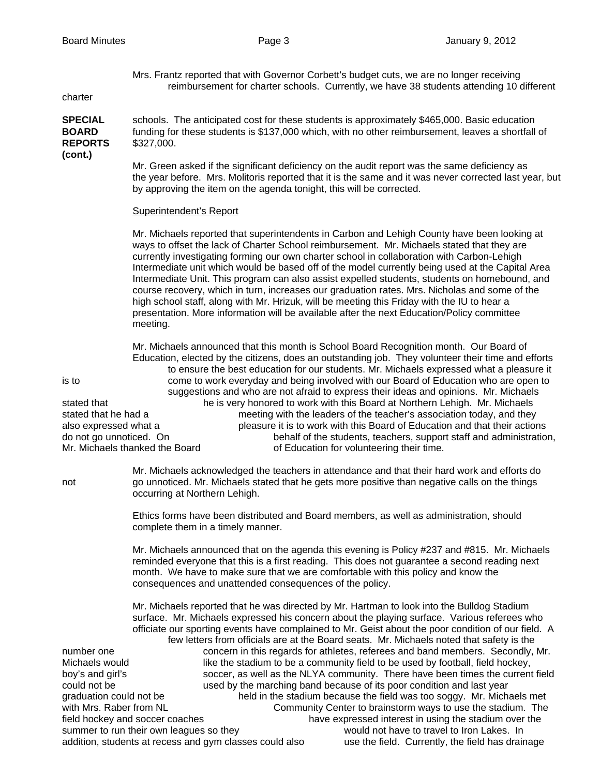Mrs. Frantz reported that with Governor Corbett's budget cuts, we are no longer receiving reimbursement for charter schools. Currently, we have 38 students attending 10 different

charter

**SPECIAL** schools. The anticipated cost for these students is approximately \$465,000. Basic education **BOARD** funding for these students is \$137,000 which, with no other reimbursement, leaves a shortfall of **REPORTS** \$327,000. **(cont.)** 

> Mr. Green asked if the significant deficiency on the audit report was the same deficiency as the year before. Mrs. Molitoris reported that it is the same and it was never corrected last year, but by approving the item on the agenda tonight, this will be corrected.

#### Superintendent's Report

Mr. Michaels reported that superintendents in Carbon and Lehigh County have been looking at ways to offset the lack of Charter School reimbursement. Mr. Michaels stated that they are currently investigating forming our own charter school in collaboration with Carbon-Lehigh Intermediate unit which would be based off of the model currently being used at the Capital Area Intermediate Unit. This program can also assist expelled students, students on homebound, and course recovery, which in turn, increases our graduation rates. Mrs. Nicholas and some of the high school staff, along with Mr. Hrizuk, will be meeting this Friday with the IU to hear a presentation. More information will be available after the next Education/Policy committee meeting.

 Mr. Michaels announced that this month is School Board Recognition month. Our Board of Education, elected by the citizens, does an outstanding job. They volunteer their time and efforts to ensure the best education for our students. Mr. Michaels expressed what a pleasure it is to come to work everyday and being involved with our Board of Education who are open to suggestions and who are not afraid to express their ideas and opinions. Mr. Michaels stated that he is very honored to work with this Board at Northern Lehigh. Mr. Michaels stated that he had a meeting with the leaders of the teacher's association today, and they also expressed what a pleasure it is to work with this Board of Education and that their actions<br>do not go unnoticed. On behalf of the students, teachers, support staff and administration behalf of the students, teachers, support staff and administration, Mr. Michaels thanked the Board of Education for volunteering their time.

 Mr. Michaels acknowledged the teachers in attendance and that their hard work and efforts do not go unnoticed. Mr. Michaels stated that he gets more positive than negative calls on the things occurring at Northern Lehigh.

> Ethics forms have been distributed and Board members, as well as administration, should complete them in a timely manner.

 Mr. Michaels announced that on the agenda this evening is Policy #237 and #815. Mr. Michaels reminded everyone that this is a first reading. This does not guarantee a second reading next month. We have to make sure that we are comfortable with this policy and know the consequences and unattended consequences of the policy.

 Mr. Michaels reported that he was directed by Mr. Hartman to look into the Bulldog Stadium surface. Mr. Michaels expressed his concern about the playing surface. Various referees who officiate our sporting events have complained to Mr. Geist about the poor condition of our field. A few letters from officials are at the Board seats. Mr. Michaels noted that safety is the number one concern in this regards for athletes, referees and band members. Secondly, Mr. Michaels would **interely like the stadium to be a community field to be used by football, field hockey,** boy's and girl's soccer, as well as the NLYA community. There have been times the current field could not be used by the marching band because of its poor condition and last year graduation could not be held in the stadium because the field was too soggy. Mr. Michaels met with Mrs. Raber from NL Community Center to brainstorm ways to use the stadium. The field hockey and soccer coaches have expressed interest in using the stadium over the summer to run their own leagues so they would not have to travel to Iron Lakes. In addition, students at recess and gym classes could also use the field. Currently, the field has drainage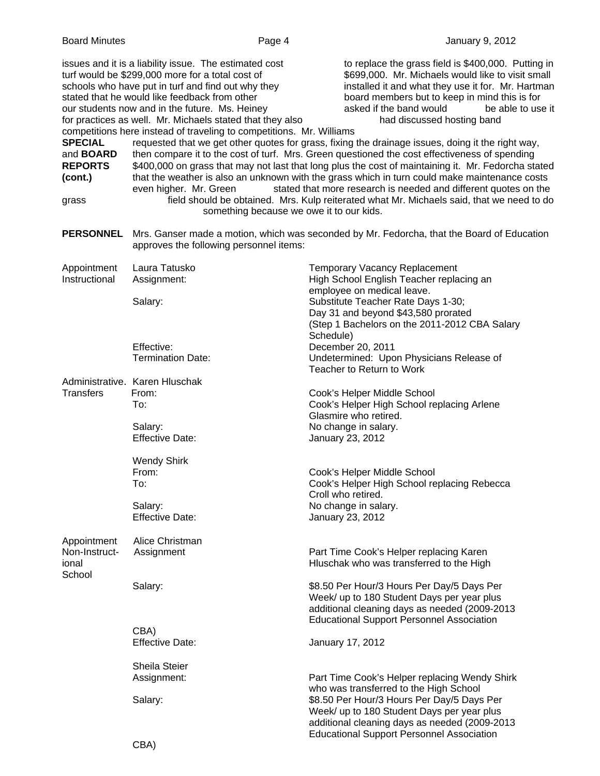| <b>Board Minutes</b>                                                                                                                                                                                                                                                                                                                                                                                                                                                                                                                                       |                                                   | Page 4    | January 9, 2012                                                                                                                                                                                                                                                                                                                                                                                                                                                                                                                                                                                                                                                                                                                                                                                                                                                             |
|------------------------------------------------------------------------------------------------------------------------------------------------------------------------------------------------------------------------------------------------------------------------------------------------------------------------------------------------------------------------------------------------------------------------------------------------------------------------------------------------------------------------------------------------------------|---------------------------------------------------|-----------|-----------------------------------------------------------------------------------------------------------------------------------------------------------------------------------------------------------------------------------------------------------------------------------------------------------------------------------------------------------------------------------------------------------------------------------------------------------------------------------------------------------------------------------------------------------------------------------------------------------------------------------------------------------------------------------------------------------------------------------------------------------------------------------------------------------------------------------------------------------------------------|
| issues and it is a liability issue. The estimated cost<br>turf would be \$299,000 more for a total cost of<br>schools who have put in turf and find out why they<br>stated that he would like feedback from other<br>our students now and in the future. Ms. Heiney<br>for practices as well. Mr. Michaels stated that they also<br>competitions here instead of traveling to competitions. Mr. Williams<br><b>SPECIAL</b><br>and <b>BOARD</b><br><b>REPORTS</b><br>(cont.)<br>even higher. Mr. Green<br>grass<br>something because we owe it to our kids. |                                                   |           | to replace the grass field is \$400,000. Putting in<br>\$699,000. Mr. Michaels would like to visit small<br>installed it and what they use it for. Mr. Hartman<br>board members but to keep in mind this is for<br>asked if the band would<br>be able to use it<br>had discussed hosting band<br>requested that we get other quotes for grass, fixing the drainage issues, doing it the right way,<br>then compare it to the cost of turf. Mrs. Green questioned the cost effectiveness of spending<br>\$400,000 on grass that may not last that long plus the cost of maintaining it. Mr. Fedorcha stated<br>that the weather is also an unknown with the grass which in turn could make maintenance costs<br>stated that more research is needed and different quotes on the<br>field should be obtained. Mrs. Kulp reiterated what Mr. Michaels said, that we need to do |
| <b>PERSONNEL</b>                                                                                                                                                                                                                                                                                                                                                                                                                                                                                                                                           | approves the following personnel items:           |           | Mrs. Ganser made a motion, which was seconded by Mr. Fedorcha, that the Board of Education                                                                                                                                                                                                                                                                                                                                                                                                                                                                                                                                                                                                                                                                                                                                                                                  |
| Appointment<br>Instructional                                                                                                                                                                                                                                                                                                                                                                                                                                                                                                                               | Laura Tatusko<br>Assignment:<br>Salary:           |           | <b>Temporary Vacancy Replacement</b><br>High School English Teacher replacing an<br>employee on medical leave.<br>Substitute Teacher Rate Days 1-30;<br>Day 31 and beyond \$43,580 prorated                                                                                                                                                                                                                                                                                                                                                                                                                                                                                                                                                                                                                                                                                 |
|                                                                                                                                                                                                                                                                                                                                                                                                                                                                                                                                                            | Effective:<br><b>Termination Date:</b>            | Schedule) | (Step 1 Bachelors on the 2011-2012 CBA Salary<br>December 20, 2011<br>Undetermined: Upon Physicians Release of<br>Teacher to Return to Work                                                                                                                                                                                                                                                                                                                                                                                                                                                                                                                                                                                                                                                                                                                                 |
| Administrative. Karen Hluschak<br><b>Transfers</b>                                                                                                                                                                                                                                                                                                                                                                                                                                                                                                         | From:<br>To:<br>Salary:                           |           | Cook's Helper Middle School<br>Cook's Helper High School replacing Arlene<br>Glasmire who retired.<br>No change in salary.                                                                                                                                                                                                                                                                                                                                                                                                                                                                                                                                                                                                                                                                                                                                                  |
|                                                                                                                                                                                                                                                                                                                                                                                                                                                                                                                                                            | <b>Effective Date:</b><br><b>Wendy Shirk</b>      |           | January 23, 2012                                                                                                                                                                                                                                                                                                                                                                                                                                                                                                                                                                                                                                                                                                                                                                                                                                                            |
|                                                                                                                                                                                                                                                                                                                                                                                                                                                                                                                                                            | From:<br>To:<br>Salary:<br><b>Effective Date:</b> |           | Cook's Helper Middle School<br>Cook's Helper High School replacing Rebecca<br>Croll who retired.<br>No change in salary.<br>January 23, 2012                                                                                                                                                                                                                                                                                                                                                                                                                                                                                                                                                                                                                                                                                                                                |
| Appointment<br>Non-Instruct-<br>ional<br>School                                                                                                                                                                                                                                                                                                                                                                                                                                                                                                            | Alice Christman<br>Assignment                     |           | Part Time Cook's Helper replacing Karen<br>Hluschak who was transferred to the High                                                                                                                                                                                                                                                                                                                                                                                                                                                                                                                                                                                                                                                                                                                                                                                         |
|                                                                                                                                                                                                                                                                                                                                                                                                                                                                                                                                                            | Salary:                                           |           | \$8.50 Per Hour/3 Hours Per Day/5 Days Per<br>Week/ up to 180 Student Days per year plus<br>additional cleaning days as needed (2009-2013<br><b>Educational Support Personnel Association</b>                                                                                                                                                                                                                                                                                                                                                                                                                                                                                                                                                                                                                                                                               |
|                                                                                                                                                                                                                                                                                                                                                                                                                                                                                                                                                            | CBA)<br><b>Effective Date:</b>                    |           | January 17, 2012                                                                                                                                                                                                                                                                                                                                                                                                                                                                                                                                                                                                                                                                                                                                                                                                                                                            |
|                                                                                                                                                                                                                                                                                                                                                                                                                                                                                                                                                            | Sheila Steier<br>Assignment:<br>Salary:           |           | Part Time Cook's Helper replacing Wendy Shirk<br>who was transferred to the High School<br>\$8.50 Per Hour/3 Hours Per Day/5 Days Per<br>Week/ up to 180 Student Days per year plus<br>additional cleaning days as needed (2009-2013<br><b>Educational Support Personnel Association</b>                                                                                                                                                                                                                                                                                                                                                                                                                                                                                                                                                                                    |
|                                                                                                                                                                                                                                                                                                                                                                                                                                                                                                                                                            | CBA)                                              |           |                                                                                                                                                                                                                                                                                                                                                                                                                                                                                                                                                                                                                                                                                                                                                                                                                                                                             |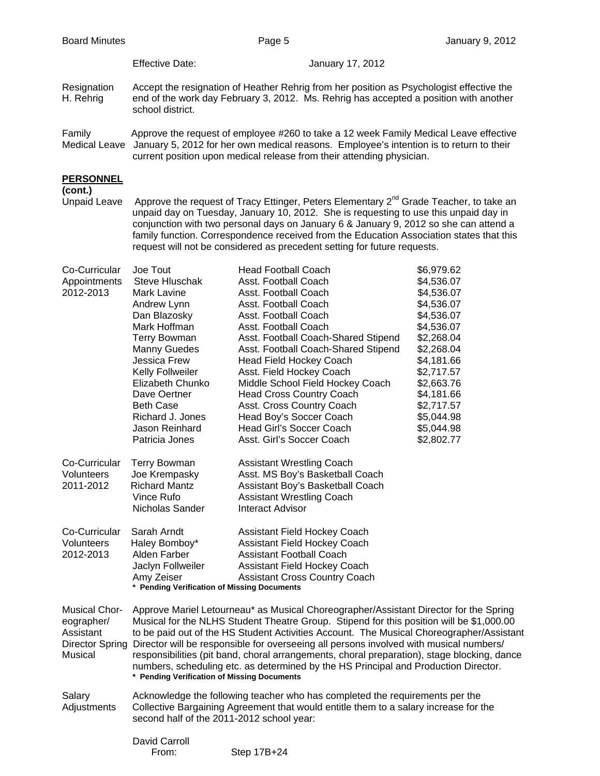Effective Date: January 17, 2012

- Resignation Accept the resignation of Heather Rehrig from her position as Psychologist effective the H. Rehrig end of the work day February 3, 2012. Ms. Rehrig has accepted a position with another school district.
- Family Approve the request of employee #260 to take a 12 week Family Medical Leave effective Medical Leave January 5, 2012 for her own medical reasons. Employee's intention is to return to their current position upon medical release from their attending physician.

# **PERSONNEL**

**(cont.)** 

Unpaid Leave Approve the request of Tracy Ettinger, Peters Elementary  $2^{nd}$  Grade Teacher, to take an unpaid day on Tuesday, January 10, 2012. She is requesting to use this unpaid day in conjunction with two personal days on January 6 & January 9, 2012 so she can attend a family function. Correspondence received from the Education Association states that this request will not be considered as precedent setting for future requests.

| Co-Curricular        | Joe Tout                                                                             | <b>Head Football Coach</b>                                                                  | \$6,979.62 |  |
|----------------------|--------------------------------------------------------------------------------------|---------------------------------------------------------------------------------------------|------------|--|
| Appointments         | <b>Steve Hluschak</b>                                                                | Asst. Football Coach                                                                        | \$4,536.07 |  |
| 2012-2013            | Mark Lavine                                                                          | Asst. Football Coach                                                                        | \$4,536.07 |  |
|                      | Andrew Lynn                                                                          | Asst. Football Coach                                                                        | \$4,536.07 |  |
|                      | Dan Blazosky                                                                         | Asst. Football Coach                                                                        | \$4,536.07 |  |
|                      | Mark Hoffman                                                                         | Asst. Football Coach                                                                        | \$4,536.07 |  |
|                      | <b>Terry Bowman</b>                                                                  | Asst. Football Coach-Shared Stipend                                                         | \$2,268.04 |  |
|                      | <b>Manny Guedes</b>                                                                  | Asst. Football Coach-Shared Stipend                                                         | \$2,268.04 |  |
|                      | Jessica Frew                                                                         | Head Field Hockey Coach                                                                     | \$4,181.66 |  |
|                      | Kelly Follweiler                                                                     | Asst. Field Hockey Coach                                                                    | \$2,717.57 |  |
|                      | Elizabeth Chunko                                                                     | Middle School Field Hockey Coach                                                            | \$2,663.76 |  |
|                      | Dave Oertner                                                                         | <b>Head Cross Country Coach</b>                                                             | \$4,181.66 |  |
|                      | <b>Beth Case</b>                                                                     | Asst. Cross Country Coach                                                                   | \$2,717.57 |  |
|                      | Richard J. Jones                                                                     | Head Boy's Soccer Coach                                                                     | \$5,044.98 |  |
|                      | Jason Reinhard                                                                       | Head Girl's Soccer Coach                                                                    | \$5,044.98 |  |
|                      | Patricia Jones                                                                       | Asst. Girl's Soccer Coach                                                                   | \$2,802.77 |  |
|                      |                                                                                      |                                                                                             |            |  |
| Co-Curricular        | <b>Terry Bowman</b>                                                                  | <b>Assistant Wrestling Coach</b>                                                            |            |  |
| Volunteers           | Joe Krempasky                                                                        | Asst. MS Boy's Basketball Coach                                                             |            |  |
| 2011-2012            | <b>Richard Mantz</b>                                                                 | Assistant Boy's Basketball Coach                                                            |            |  |
|                      | Vince Rufo                                                                           | <b>Assistant Wrestling Coach</b>                                                            |            |  |
|                      | Nicholas Sander                                                                      | <b>Interact Advisor</b>                                                                     |            |  |
|                      |                                                                                      |                                                                                             |            |  |
| Co-Curricular        | Sarah Arndt                                                                          | <b>Assistant Field Hockey Coach</b>                                                         |            |  |
| Volunteers           | Haley Bomboy*                                                                        | Assistant Field Hockey Coach                                                                |            |  |
| 2012-2013            | Alden Farber                                                                         | <b>Assistant Football Coach</b>                                                             |            |  |
|                      | Jaclyn Follweiler                                                                    | Assistant Field Hockey Coach                                                                |            |  |
|                      | Amy Zeiser                                                                           | <b>Assistant Cross Country Coach</b>                                                        |            |  |
|                      | * Pending Verification of Missing Documents                                          |                                                                                             |            |  |
|                      |                                                                                      |                                                                                             |            |  |
| <b>Musical Chor-</b> |                                                                                      | Approve Mariel Letourneau* as Musical Choreographer/Assistant Director for the Spring       |            |  |
| eographer/           |                                                                                      | Musical for the NLHS Student Theatre Group. Stipend for this position will be \$1,000.00    |            |  |
| Assistant            |                                                                                      | to be paid out of the HS Student Activities Account. The Musical Choreographer/Assistant    |            |  |
| Director Spring      |                                                                                      | Director will be responsible for overseeing all persons involved with musical numbers/      |            |  |
| Musical              |                                                                                      | responsibilities (pit band, choral arrangements, choral preparation), stage blocking, dance |            |  |
|                      |                                                                                      | numbers, scheduling etc. as determined by the HS Principal and Production Director.         |            |  |
|                      | * Pending Verification of Missing Documents                                          |                                                                                             |            |  |
| Salary               |                                                                                      | Acknowledge the following teacher who has completed the requirements per the                |            |  |
| Adjustments          | Collective Bargaining Agreement that would entitle them to a salary increase for the |                                                                                             |            |  |
|                      | second half of the 2011-2012 school year:                                            |                                                                                             |            |  |
|                      |                                                                                      |                                                                                             |            |  |
|                      |                                                                                      |                                                                                             |            |  |

| David Carroll |  |
|---------------|--|
| From:         |  |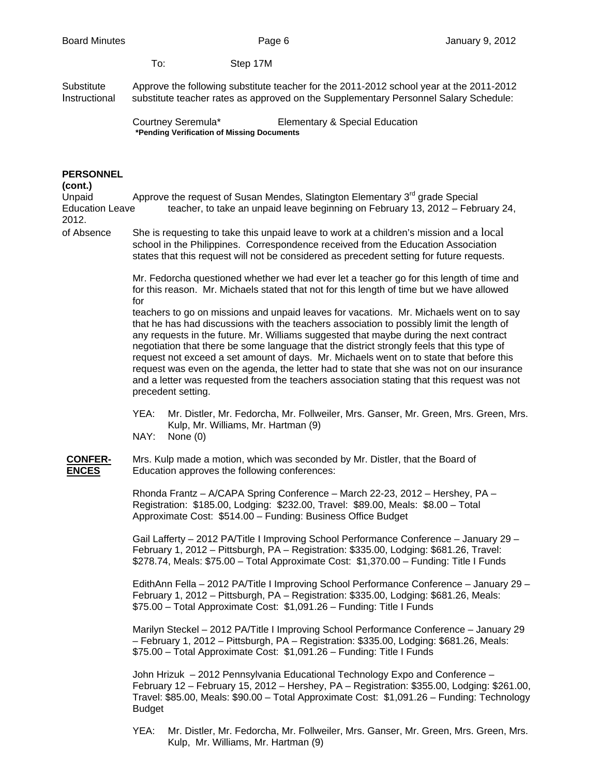To: Step 17M

Substitute Approve the following substitute teacher for the 2011-2012 school year at the 2011-2012 Instructional substitute teacher rates as approved on the Supplementary Personnel Salary Schedule:

> Courtney Seremula\* Elementary & Special Education **\*Pending Verification of Missing Documents**

### **PERSONNEL**

# **(cont.)**

Unpaid  $\blacksquare$  Approve the request of Susan Mendes, Slatington Elementary 3<sup>rd</sup> grade Special Education Leave teacher, to take an unpaid leave beginning on February 13, 2012 – February 24, 2012.

of Absence She is requesting to take this unpaid leave to work at a children's mission and a local school in the Philippines. Correspondence received from the Education Association states that this request will not be considered as precedent setting for future requests.

> Mr. Fedorcha questioned whether we had ever let a teacher go for this length of time and for this reason. Mr. Michaels stated that not for this length of time but we have allowed for

> teachers to go on missions and unpaid leaves for vacations. Mr. Michaels went on to say that he has had discussions with the teachers association to possibly limit the length of any requests in the future. Mr. Williams suggested that maybe during the next contract negotiation that there be some language that the district strongly feels that this type of request not exceed a set amount of days. Mr. Michaels went on to state that before this request was even on the agenda, the letter had to state that she was not on our insurance and a letter was requested from the teachers association stating that this request was not precedent setting.

- YEA: Mr. Distler, Mr. Fedorcha, Mr. Follweiler, Mrs. Ganser, Mr. Green, Mrs. Green, Mrs. Kulp, Mr. Williams, Mr. Hartman (9)
- NAY: None (0)

# **CONFER-** Mrs. Kulp made a motion, which was seconded by Mr. Distler, that the Board of **ENCES** Education approves the following conferences:

 Rhonda Frantz – A/CAPA Spring Conference – March 22-23, 2012 – Hershey, PA – Registration: \$185.00, Lodging: \$232.00, Travel: \$89.00, Meals: \$8.00 – Total Approximate Cost: \$514.00 – Funding: Business Office Budget

 Gail Lafferty – 2012 PA/Title I Improving School Performance Conference – January 29 – February 1, 2012 – Pittsburgh, PA – Registration: \$335.00, Lodging: \$681.26, Travel: \$278.74, Meals: \$75.00 – Total Approximate Cost: \$1,370.00 – Funding: Title I Funds

EdithAnn Fella – 2012 PA/Title I Improving School Performance Conference – January 29 – February 1, 2012 – Pittsburgh, PA – Registration: \$335.00, Lodging: \$681.26, Meals: \$75.00 – Total Approximate Cost: \$1,091.26 – Funding: Title I Funds

Marilyn Steckel – 2012 PA/Title I Improving School Performance Conference – January 29 – February 1, 2012 – Pittsburgh, PA – Registration: \$335.00, Lodging: \$681.26, Meals: \$75.00 – Total Approximate Cost: \$1,091.26 – Funding: Title I Funds

John Hrizuk – 2012 Pennsylvania Educational Technology Expo and Conference – February 12 – February 15, 2012 – Hershey, PA – Registration: \$355.00, Lodging: \$261.00, Travel: \$85.00, Meals: \$90.00 – Total Approximate Cost: \$1,091.26 – Funding: Technology Budget

 YEA: Mr. Distler, Mr. Fedorcha, Mr. Follweiler, Mrs. Ganser, Mr. Green, Mrs. Green, Mrs. Kulp, Mr. Williams, Mr. Hartman (9)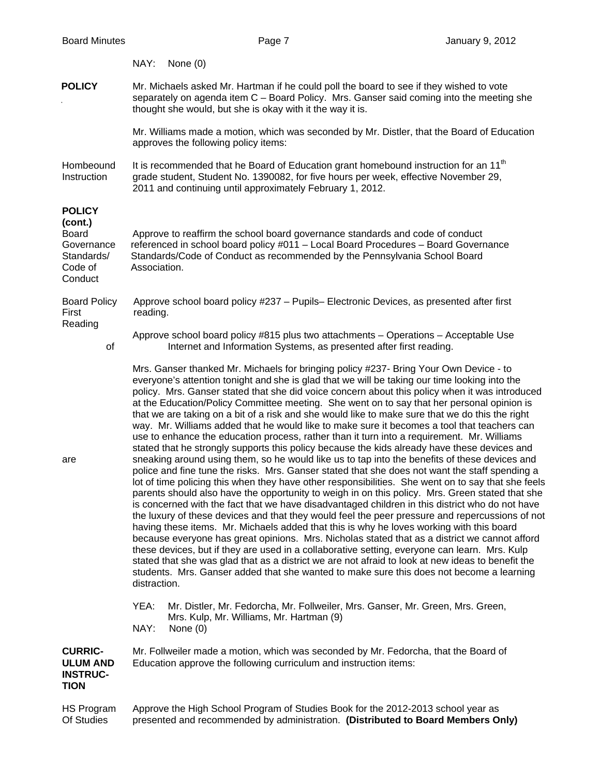|                                                                                            | NAY:<br>None $(0)$                                                                                                                                                                                                                                                                                                                                                                                                                                                                                                                                                                                                                                                                                                                                                                                                                                                                                                                                                                                                                                                                                                                                                                                                                                                                                                                                                                                                                                                                                                                                                                                                                                                                                                                                                                                                                                                                                                      |  |  |
|--------------------------------------------------------------------------------------------|-------------------------------------------------------------------------------------------------------------------------------------------------------------------------------------------------------------------------------------------------------------------------------------------------------------------------------------------------------------------------------------------------------------------------------------------------------------------------------------------------------------------------------------------------------------------------------------------------------------------------------------------------------------------------------------------------------------------------------------------------------------------------------------------------------------------------------------------------------------------------------------------------------------------------------------------------------------------------------------------------------------------------------------------------------------------------------------------------------------------------------------------------------------------------------------------------------------------------------------------------------------------------------------------------------------------------------------------------------------------------------------------------------------------------------------------------------------------------------------------------------------------------------------------------------------------------------------------------------------------------------------------------------------------------------------------------------------------------------------------------------------------------------------------------------------------------------------------------------------------------------------------------------------------------|--|--|
| <b>POLICY</b>                                                                              | Mr. Michaels asked Mr. Hartman if he could poll the board to see if they wished to vote<br>separately on agenda item C - Board Policy. Mrs. Ganser said coming into the meeting she<br>thought she would, but she is okay with it the way it is.                                                                                                                                                                                                                                                                                                                                                                                                                                                                                                                                                                                                                                                                                                                                                                                                                                                                                                                                                                                                                                                                                                                                                                                                                                                                                                                                                                                                                                                                                                                                                                                                                                                                        |  |  |
|                                                                                            | Mr. Williams made a motion, which was seconded by Mr. Distler, that the Board of Education<br>approves the following policy items:                                                                                                                                                                                                                                                                                                                                                                                                                                                                                                                                                                                                                                                                                                                                                                                                                                                                                                                                                                                                                                                                                                                                                                                                                                                                                                                                                                                                                                                                                                                                                                                                                                                                                                                                                                                      |  |  |
| Hombeound<br>Instruction                                                                   | It is recommended that he Board of Education grant homebound instruction for an 11 <sup>th</sup><br>grade student, Student No. 1390082, for five hours per week, effective November 29,<br>2011 and continuing until approximately February 1, 2012.                                                                                                                                                                                                                                                                                                                                                                                                                                                                                                                                                                                                                                                                                                                                                                                                                                                                                                                                                                                                                                                                                                                                                                                                                                                                                                                                                                                                                                                                                                                                                                                                                                                                    |  |  |
| <b>POLICY</b><br>(cont.)<br><b>Board</b><br>Governance<br>Standards/<br>Code of<br>Conduct | Approve to reaffirm the school board governance standards and code of conduct<br>referenced in school board policy #011 - Local Board Procedures - Board Governance<br>Standards/Code of Conduct as recommended by the Pennsylvania School Board<br>Association.                                                                                                                                                                                                                                                                                                                                                                                                                                                                                                                                                                                                                                                                                                                                                                                                                                                                                                                                                                                                                                                                                                                                                                                                                                                                                                                                                                                                                                                                                                                                                                                                                                                        |  |  |
| <b>Board Policy</b><br>First<br>Reading                                                    | Approve school board policy #237 - Pupils- Electronic Devices, as presented after first<br>reading.                                                                                                                                                                                                                                                                                                                                                                                                                                                                                                                                                                                                                                                                                                                                                                                                                                                                                                                                                                                                                                                                                                                                                                                                                                                                                                                                                                                                                                                                                                                                                                                                                                                                                                                                                                                                                     |  |  |
| of                                                                                         | Approve school board policy #815 plus two attachments - Operations - Acceptable Use<br>Internet and Information Systems, as presented after first reading.                                                                                                                                                                                                                                                                                                                                                                                                                                                                                                                                                                                                                                                                                                                                                                                                                                                                                                                                                                                                                                                                                                                                                                                                                                                                                                                                                                                                                                                                                                                                                                                                                                                                                                                                                              |  |  |
| are                                                                                        | Mrs. Ganser thanked Mr. Michaels for bringing policy #237- Bring Your Own Device - to<br>everyone's attention tonight and she is glad that we will be taking our time looking into the<br>policy. Mrs. Ganser stated that she did voice concern about this policy when it was introduced<br>at the Education/Policy Committee meeting. She went on to say that her personal opinion is<br>that we are taking on a bit of a risk and she would like to make sure that we do this the right<br>way. Mr. Williams added that he would like to make sure it becomes a tool that teachers can<br>use to enhance the education process, rather than it turn into a requirement. Mr. Williams<br>stated that he strongly supports this policy because the kids already have these devices and<br>sneaking around using them, so he would like us to tap into the benefits of these devices and<br>police and fine tune the risks. Mrs. Ganser stated that she does not want the staff spending a<br>lot of time policing this when they have other responsibilities. She went on to say that she feels<br>parents should also have the opportunity to weigh in on this policy. Mrs. Green stated that she<br>is concerned with the fact that we have disadvantaged children in this district who do not have<br>the luxury of these devices and that they would feel the peer pressure and repercussions of not<br>having these items. Mr. Michaels added that this is why he loves working with this board<br>because everyone has great opinions. Mrs. Nicholas stated that as a district we cannot afford<br>these devices, but if they are used in a collaborative setting, everyone can learn. Mrs. Kulp<br>stated that she was glad that as a district we are not afraid to look at new ideas to benefit the<br>students. Mrs. Ganser added that she wanted to make sure this does not become a learning<br>distraction. |  |  |
|                                                                                            | YEA:<br>Mr. Distler, Mr. Fedorcha, Mr. Follweiler, Mrs. Ganser, Mr. Green, Mrs. Green,<br>Mrs. Kulp, Mr. Williams, Mr. Hartman (9)<br>NAY:<br>None $(0)$                                                                                                                                                                                                                                                                                                                                                                                                                                                                                                                                                                                                                                                                                                                                                                                                                                                                                                                                                                                                                                                                                                                                                                                                                                                                                                                                                                                                                                                                                                                                                                                                                                                                                                                                                                |  |  |
| <b>CURRIC-</b><br><b>ULUM AND</b><br><b>INSTRUC-</b><br><b>TION</b>                        | Mr. Follweiler made a motion, which was seconded by Mr. Fedorcha, that the Board of<br>Education approve the following curriculum and instruction items:                                                                                                                                                                                                                                                                                                                                                                                                                                                                                                                                                                                                                                                                                                                                                                                                                                                                                                                                                                                                                                                                                                                                                                                                                                                                                                                                                                                                                                                                                                                                                                                                                                                                                                                                                                |  |  |
| HS Program<br>Of Studies                                                                   | Approve the High School Program of Studies Book for the 2012-2013 school year as<br>presented and recommended by administration. (Distributed to Board Members Only)                                                                                                                                                                                                                                                                                                                                                                                                                                                                                                                                                                                                                                                                                                                                                                                                                                                                                                                                                                                                                                                                                                                                                                                                                                                                                                                                                                                                                                                                                                                                                                                                                                                                                                                                                    |  |  |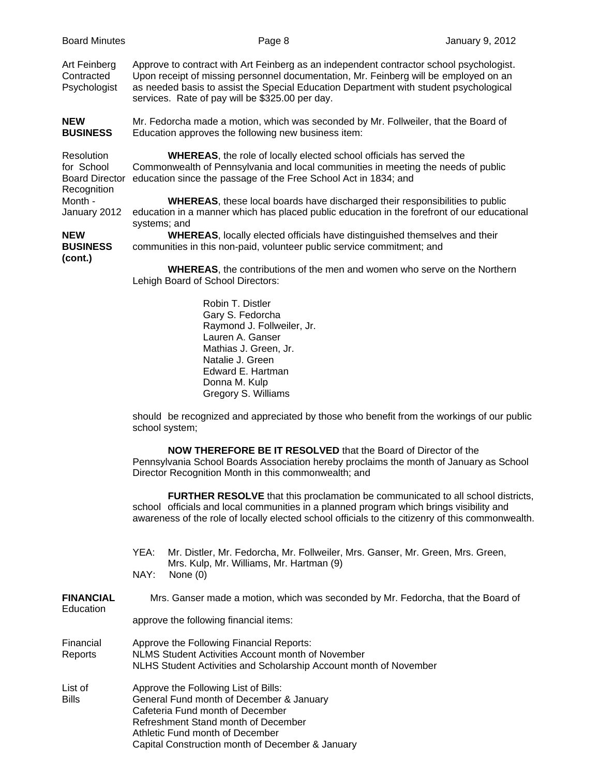|  | Art Feinberg<br>Contracted<br>Psychologist                                                  | Approve to contract with Art Feinberg as an independent contractor school psychologist.<br>Upon receipt of missing personnel documentation, Mr. Feinberg will be employed on an<br>as needed basis to assist the Special Education Department with student psychological<br>services. Rate of pay will be \$325.00 per day. |
|--|---------------------------------------------------------------------------------------------|-----------------------------------------------------------------------------------------------------------------------------------------------------------------------------------------------------------------------------------------------------------------------------------------------------------------------------|
|  | <b>NEW</b><br><b>BUSINESS</b>                                                               | Mr. Fedorcha made a motion, which was seconded by Mr. Follweiler, that the Board of<br>Education approves the following new business item:                                                                                                                                                                                  |
|  | Resolution<br>for School<br><b>Board Director</b><br>Recognition<br>Month -<br>January 2012 | <b>WHEREAS, the role of locally elected school officials has served the</b><br>Commonwealth of Pennsylvania and local communities in meeting the needs of public<br>education since the passage of the Free School Act in 1834; and                                                                                         |
|  |                                                                                             | <b>WHEREAS, these local boards have discharged their responsibilities to public</b><br>education in a manner which has placed public education in the forefront of our educational<br>systems; and                                                                                                                          |
|  | <b>NEW</b><br><b>BUSINESS</b><br>(cont.)                                                    | <b>WHEREAS, locally elected officials have distinguished themselves and their</b><br>communities in this non-paid, volunteer public service commitment; and                                                                                                                                                                 |
|  |                                                                                             | WHEREAS, the contributions of the men and women who serve on the Northern<br>Lehigh Board of School Directors:                                                                                                                                                                                                              |
|  |                                                                                             | Robin T. Distler<br>Gary S. Fedorcha<br>Raymond J. Follweiler, Jr.<br>Lauren A. Ganser<br>Mathias J. Green, Jr.<br>Natalie J. Green<br>Edward E. Hartman<br>Donna M. Kulp<br>Gregory S. Williams                                                                                                                            |
|  |                                                                                             | should be recognized and appreciated by those who benefit from the workings of our public<br>school system;                                                                                                                                                                                                                 |
|  |                                                                                             | <b>NOW THEREFORE BE IT RESOLVED</b> that the Board of Director of the<br>Pennsylvania School Boards Association hereby proclaims the month of January as School<br>Director Recognition Month in this commonwealth; and                                                                                                     |
|  |                                                                                             | FURTHER RESOLVE that this proclamation be communicated to all school districts,<br>school officials and local communities in a planned program which brings visibility and<br>awareness of the role of locally elected school officials to the citizenry of this commonwealth.                                              |
|  |                                                                                             | YEA:<br>Mr. Distler, Mr. Fedorcha, Mr. Follweiler, Mrs. Ganser, Mr. Green, Mrs. Green,<br>Mrs. Kulp, Mr. Williams, Mr. Hartman (9)<br>NAY:<br>None $(0)$                                                                                                                                                                    |
|  | <b>FINANCIAL</b><br>Education                                                               | Mrs. Ganser made a motion, which was seconded by Mr. Fedorcha, that the Board of                                                                                                                                                                                                                                            |
|  |                                                                                             | approve the following financial items:                                                                                                                                                                                                                                                                                      |
|  | Financial<br>Reports                                                                        | Approve the Following Financial Reports:<br>NLMS Student Activities Account month of November<br>NLHS Student Activities and Scholarship Account month of November                                                                                                                                                          |
|  | List of<br><b>Bills</b>                                                                     | Approve the Following List of Bills:<br>General Fund month of December & January<br>Cafeteria Fund month of December<br>Refreshment Stand month of December<br>Athletic Fund month of December<br>Capital Construction month of December & January                                                                          |

Board Minutes **Page 8** Page 8 January 9, 2012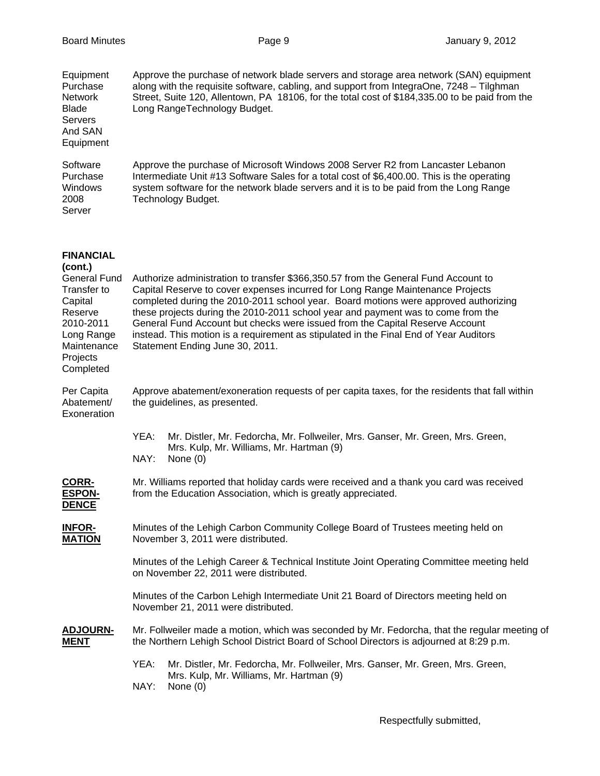| Equipment<br>Purchase<br>Network<br><b>Blade</b><br><b>Servers</b><br>And SAN<br>Equipment                                                                 | Approve the purchase of network blade servers and storage area network (SAN) equipment<br>along with the requisite software, cabling, and support from IntegraOne, 7248 - Tilghman<br>Street, Suite 120, Allentown, PA 18106, for the total cost of \$184,335.00 to be paid from the<br>Long RangeTechnology Budget.                                                                                                                                                                                                                                        |                                                                                                                                                                                          |  |
|------------------------------------------------------------------------------------------------------------------------------------------------------------|-------------------------------------------------------------------------------------------------------------------------------------------------------------------------------------------------------------------------------------------------------------------------------------------------------------------------------------------------------------------------------------------------------------------------------------------------------------------------------------------------------------------------------------------------------------|------------------------------------------------------------------------------------------------------------------------------------------------------------------------------------------|--|
| Software<br>Purchase<br>Windows<br>2008<br>Server                                                                                                          | Approve the purchase of Microsoft Windows 2008 Server R2 from Lancaster Lebanon<br>Intermediate Unit #13 Software Sales for a total cost of \$6,400.00. This is the operating<br>system software for the network blade servers and it is to be paid from the Long Range<br>Technology Budget.                                                                                                                                                                                                                                                               |                                                                                                                                                                                          |  |
| <b>FINANCIAL</b><br>(cont.)<br><b>General Fund</b><br>Transfer to<br>Capital<br>Reserve<br>2010-2011<br>Long Range<br>Maintenance<br>Projects<br>Completed | Authorize administration to transfer \$366,350.57 from the General Fund Account to<br>Capital Reserve to cover expenses incurred for Long Range Maintenance Projects<br>completed during the 2010-2011 school year. Board motions were approved authorizing<br>these projects during the 2010-2011 school year and payment was to come from the<br>General Fund Account but checks were issued from the Capital Reserve Account<br>instead. This motion is a requirement as stipulated in the Final End of Year Auditors<br>Statement Ending June 30, 2011. |                                                                                                                                                                                          |  |
| Per Capita<br>Abatement/<br>Exoneration                                                                                                                    | Approve abatement/exoneration requests of per capita taxes, for the residents that fall within<br>the guidelines, as presented.                                                                                                                                                                                                                                                                                                                                                                                                                             |                                                                                                                                                                                          |  |
|                                                                                                                                                            | YEA:<br>NAY:                                                                                                                                                                                                                                                                                                                                                                                                                                                                                                                                                | Mr. Distler, Mr. Fedorcha, Mr. Follweiler, Mrs. Ganser, Mr. Green, Mrs. Green,<br>Mrs. Kulp, Mr. Williams, Mr. Hartman (9)<br>None $(0)$                                                 |  |
| <b>CORR-</b><br><b>ESPON-</b><br><b>DENCE</b>                                                                                                              |                                                                                                                                                                                                                                                                                                                                                                                                                                                                                                                                                             | Mr. Williams reported that holiday cards were received and a thank you card was received<br>from the Education Association, which is greatly appreciated.                                |  |
| <b>INFOR-</b><br><b>MATION</b>                                                                                                                             | Minutes of the Lehigh Carbon Community College Board of Trustees meeting held on<br>November 3, 2011 were distributed.                                                                                                                                                                                                                                                                                                                                                                                                                                      |                                                                                                                                                                                          |  |
|                                                                                                                                                            |                                                                                                                                                                                                                                                                                                                                                                                                                                                                                                                                                             | Minutes of the Lehigh Career & Technical Institute Joint Operating Committee meeting held<br>on November 22, 2011 were distributed.                                                      |  |
|                                                                                                                                                            |                                                                                                                                                                                                                                                                                                                                                                                                                                                                                                                                                             | Minutes of the Carbon Lehigh Intermediate Unit 21 Board of Directors meeting held on<br>November 21, 2011 were distributed.                                                              |  |
| <b>ADJOURN-</b><br><b>MENT</b>                                                                                                                             |                                                                                                                                                                                                                                                                                                                                                                                                                                                                                                                                                             | Mr. Follweiler made a motion, which was seconded by Mr. Fedorcha, that the regular meeting of<br>the Northern Lehigh School District Board of School Directors is adjourned at 8:29 p.m. |  |
|                                                                                                                                                            | YEA:<br>NAY:                                                                                                                                                                                                                                                                                                                                                                                                                                                                                                                                                | Mr. Distler, Mr. Fedorcha, Mr. Follweiler, Mrs. Ganser, Mr. Green, Mrs. Green,<br>Mrs. Kulp, Mr. Williams, Mr. Hartman (9)<br>None $(0)$                                                 |  |